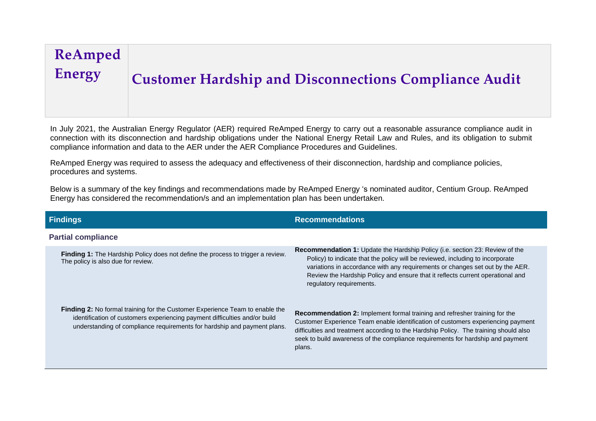## **ReAmped Energy Customer Hardship and Disconnections Compliance Audit**

In July 2021, the Australian Energy Regulator (AER) required ReAmped Energy to carry out a reasonable assurance compliance audit in connection with its disconnection and hardship obligations under the National Energy Retail Law and Rules, and its obligation to submit compliance information and data to the AER under the AER Compliance Procedures and Guidelines.

ReAmped Energy was required to assess the adequacy and effectiveness of their disconnection, hardship and compliance policies, procedures and systems.

Below is a summary of the key findings and recommendations made by ReAmped Energy 's nominated auditor, Centium Group. ReAmped Energy has considered the recommendation/s and an implementation plan has been undertaken.

| <b>Findings</b>                                                                                                                                                                                                                               | <b>Recommendations</b>                                                                                                                                                                                                                                                                                                                                               |
|-----------------------------------------------------------------------------------------------------------------------------------------------------------------------------------------------------------------------------------------------|----------------------------------------------------------------------------------------------------------------------------------------------------------------------------------------------------------------------------------------------------------------------------------------------------------------------------------------------------------------------|
| <b>Partial compliance</b>                                                                                                                                                                                                                     |                                                                                                                                                                                                                                                                                                                                                                      |
| Finding 1: The Hardship Policy does not define the process to trigger a review.<br>The policy is also due for review.                                                                                                                         | <b>Recommendation 1:</b> Update the Hardship Policy (i.e. section 23: Review of the<br>Policy) to indicate that the policy will be reviewed, including to incorporate<br>variations in accordance with any requirements or changes set out by the AER.<br>Review the Hardship Policy and ensure that it reflects current operational and<br>regulatory requirements. |
| <b>Finding 2:</b> No formal training for the Customer Experience Team to enable the<br>identification of customers experiencing payment difficulties and/or build<br>understanding of compliance requirements for hardship and payment plans. | <b>Recommendation 2:</b> Implement formal training and refresher training for the<br>Customer Experience Team enable identification of customers experiencing payment<br>difficulties and treatment according to the Hardship Policy. The training should also<br>seek to build awareness of the compliance requirements for hardship and payment<br>plans.          |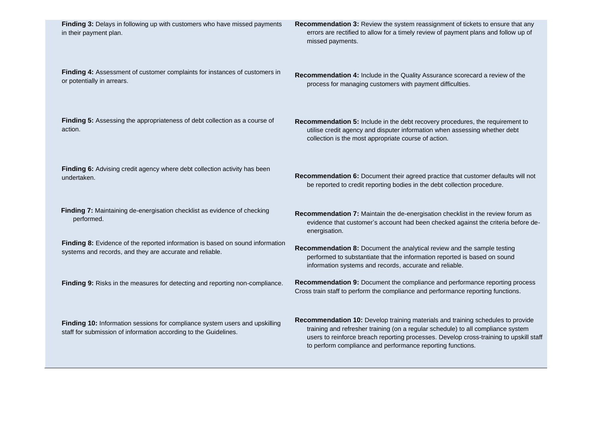| Finding 3: Delays in following up with customers who have missed payments<br>in their payment plan.                                             | Recommendation 3: Review the system reassignment of tickets to ensure that any<br>errors are rectified to allow for a timely review of payment plans and follow up of<br>missed payments.                                                                                                                                   |
|-------------------------------------------------------------------------------------------------------------------------------------------------|-----------------------------------------------------------------------------------------------------------------------------------------------------------------------------------------------------------------------------------------------------------------------------------------------------------------------------|
| Finding 4: Assessment of customer complaints for instances of customers in<br>or potentially in arrears.                                        | Recommendation 4: Include in the Quality Assurance scorecard a review of the<br>process for managing customers with payment difficulties.                                                                                                                                                                                   |
| Finding 5: Assessing the appropriateness of debt collection as a course of<br>action.                                                           | Recommendation 5: Include in the debt recovery procedures, the requirement to<br>utilise credit agency and disputer information when assessing whether debt<br>collection is the most appropriate course of action.                                                                                                         |
| Finding 6: Advising credit agency where debt collection activity has been<br>undertaken.                                                        | Recommendation 6: Document their agreed practice that customer defaults will not<br>be reported to credit reporting bodies in the debt collection procedure.                                                                                                                                                                |
| Finding 7: Maintaining de-energisation checklist as evidence of checking<br>performed.                                                          | Recommendation 7: Maintain the de-energisation checklist in the review forum as<br>evidence that customer's account had been checked against the criteria before de-<br>energisation.                                                                                                                                       |
| Finding 8: Evidence of the reported information is based on sound information<br>systems and records, and they are accurate and reliable.       | Recommendation 8: Document the analytical review and the sample testing<br>performed to substantiate that the information reported is based on sound<br>information systems and records, accurate and reliable.                                                                                                             |
| Finding 9: Risks in the measures for detecting and reporting non-compliance.                                                                    | Recommendation 9: Document the compliance and performance reporting process<br>Cross train staff to perform the compliance and performance reporting functions.                                                                                                                                                             |
| Finding 10: Information sessions for compliance system users and upskilling<br>staff for submission of information according to the Guidelines. | Recommendation 10: Develop training materials and training schedules to provide<br>training and refresher training (on a regular schedule) to all compliance system<br>users to reinforce breach reporting processes. Develop cross-training to upskill staff<br>to perform compliance and performance reporting functions. |